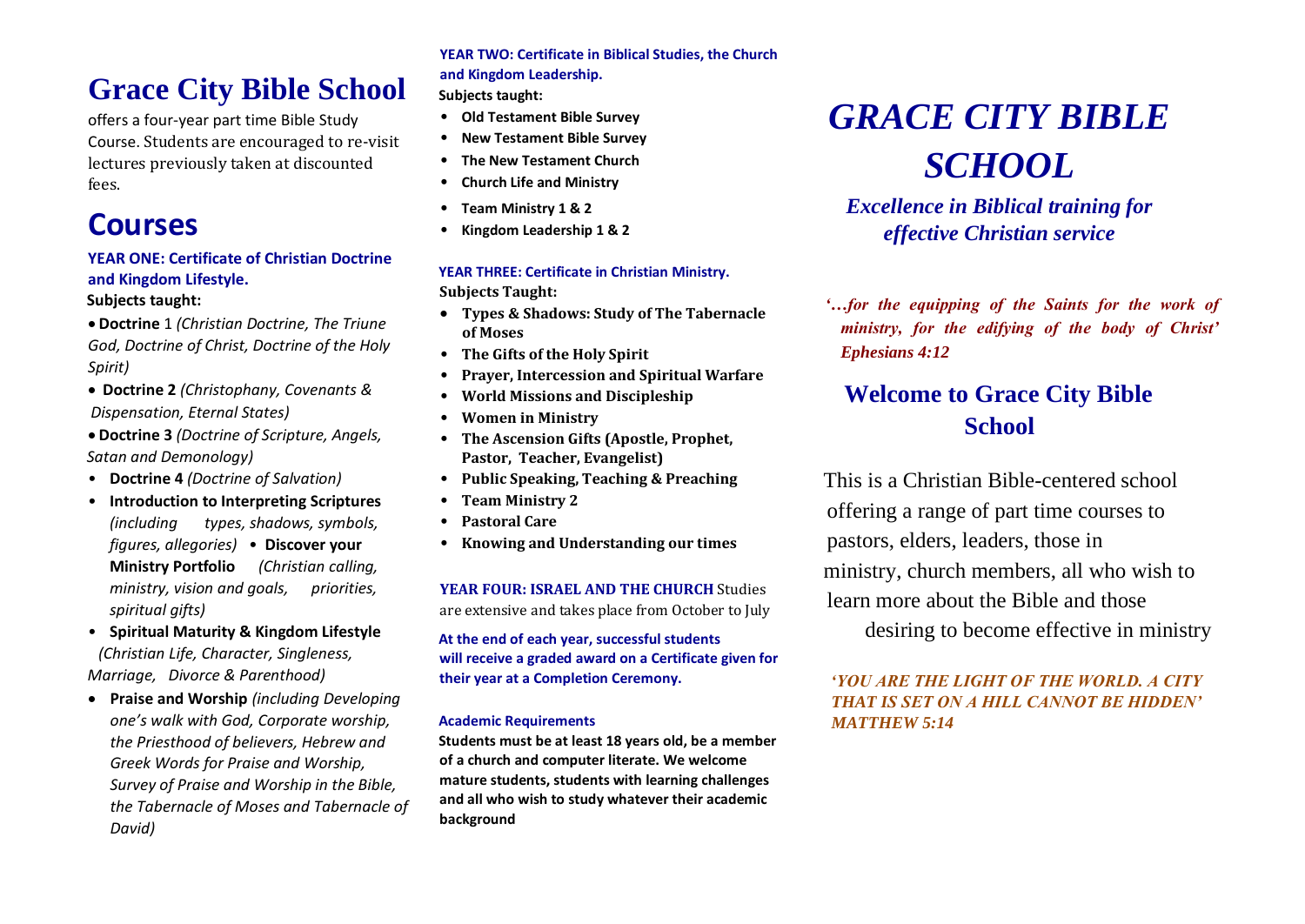### **Grace City Bible School**

offers a four-year part time Bible Study Course. Students are encouraged to re-visit lectures previously taken at discounted fees.

### **Courses**

#### **YEAR ONE: Certificate of Christian Doctrine and Kingdom Lifestyle.**

**Subjects taught:**

- **Doctrine** 1 *(Christian Doctrine, The Triune God, Doctrine of Christ, Doctrine of the Holy Spirit)*
- **Doctrine 2** *(Christophany, Covenants & Dispensation, Eternal States)*
- **Doctrine 3** *(Doctrine of Scripture, Angels, Satan and Demonology)*
- **Doctrine 4** *(Doctrine of Salvation)*
- **Introduction to Interpreting Scriptures**  *(including types, shadows, symbols, figures, allegories)* • **Discover your Ministry Portfolio** *(Christian calling, ministry, vision and goals, priorities, spiritual gifts)*
- **Spiritual Maturity & Kingdom Lifestyle**  *(Christian Life, Character, Singleness, Marriage, Divorce & Parenthood)*
- **Praise and Worship** *(including Developing one's walk with God, Corporate worship, the Priesthood of believers, Hebrew and Greek Words for Praise and Worship, Survey of Praise and Worship in the Bible, the Tabernacle of Moses and Tabernacle of David)*

**YEAR TWO: Certificate in Biblical Studies, the Church and Kingdom Leadership. Subjects taught:**

- **Old Testament Bible Survey**
- **New Testament Bible Survey**
- **The New Testament Church**
- **Church Life and Ministry**
- **Team Ministry 1 & 2**
- **Kingdom Leadership 1 & 2**

#### **YEAR THREE: Certificate in Christian Ministry. Subjects Taught:**

- **Types & Shadows: Study of The Tabernacle of Moses**
- **The Gifts of the Holy Spirit**
- **Prayer, Intercession and Spiritual Warfare**
- **World Missions and Discipleship**
- **Women in Ministry**
- **The Ascension Gifts (Apostle, Prophet, Pastor, Teacher, Evangelist)**
- **Public Speaking, Teaching & Preaching**
- **Team Ministry 2**
- **Pastoral Care**
- **Knowing and Understanding our times**

**YEAR FOUR: ISRAEL AND THE CHURCH** Studies are extensive and takes place from October to July

**At the end of each year, successful students will receive a graded award on a Certificate given for their year at a Completion Ceremony.**

#### **Academic Requirements**

**Students must be at least 18 years old, be a member of a church and computer literate. We welcome mature students, students with learning challenges and all who wish to study whatever their academic background** 

# *GRACE CITY BIBLE SCHOOL*

*Excellence in Biblical training for effective Christian service*

*'…for the equipping of the Saints for the work of ministry, for the edifying of the body of Christ' Ephesians 4:12*

### **Welcome to Grace City Bible School**

This is a Christian Bible-centered school offering a range of part time courses to pastors, elders, leaders, those in ministry, church members, all who wish to learn more about the Bible and those

desiring to become effective in ministry

*'YOU ARE THE LIGHT OF THE WORLD. A CITY THAT IS SET ON A HILL CANNOT BE HIDDEN' MATTHEW 5:14*